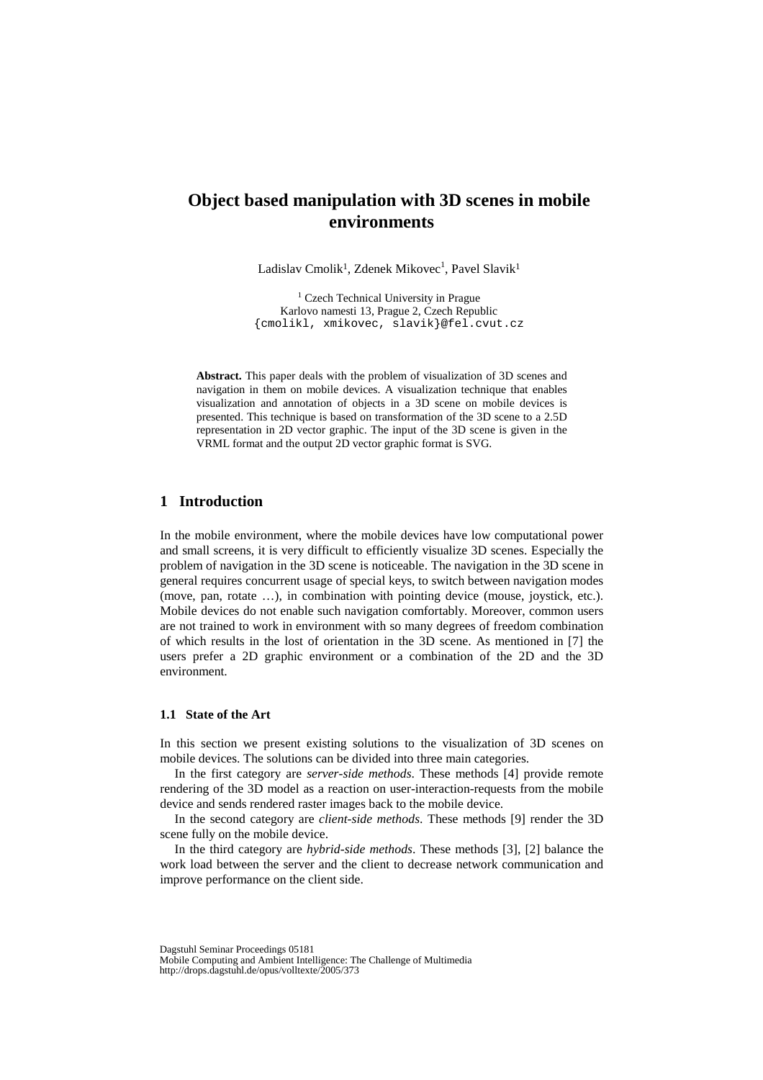# **Object based manipulation with 3D scenes in mobile environments**

Ladislav Cmolik<sup>1</sup>, Zdenek Mikovec<sup>1</sup>, Pavel Slavik<sup>1</sup>

<sup>1</sup> Czech Technical University in Prague Karlovo namesti 13, Prague 2, Czech Republic {cmolikl, xmikovec, slavik}@fel.cvut.cz

**Abstract.** This paper deals with the problem of visualization of 3D scenes and navigation in them on mobile devices. A visualization technique that enables visualization and annotation of objects in a 3D scene on mobile devices is presented. This technique is based on transformation of the 3D scene to a 2.5D representation in 2D vector graphic. The input of the 3D scene is given in the VRML format and the output 2D vector graphic format is SVG.

# **1 Introduction**

In the mobile environment, where the mobile devices have low computational power and small screens, it is very difficult to efficiently visualize 3D scenes. Especially the problem of navigation in the 3D scene is noticeable. The navigation in the 3D scene in general requires concurrent usage of special keys, to switch between navigation modes (move, pan, rotate …), in combination with pointing device (mouse, joystick, etc.). Mobile devices do not enable such navigation comfortably. Moreover, common users are not trained to work in environment with so many degrees of freedom combination of which results in the lost of orientation in the 3D scene. As mentioned in [7] the users prefer a 2D graphic environment or a combination of the 2D and the 3D environment.

### **1.1 State of the Art**

In this section we present existing solutions to the visualization of 3D scenes on mobile devices. The solutions can be divided into three main categories.

In the first category are *server-side methods*. These methods [4] provide remote rendering of the 3D model as a reaction on user-interaction-requests from the mobile device and sends rendered raster images back to the mobile device.

In the second category are *client-side methods*. These methods [9] render the 3D scene fully on the mobile device.

In the third category are *hybrid-side methods*. These methods [3], [2] balance the work load between the server and the client to decrease network communication and improve performance on the client side.

Dagstuhl Seminar Proceedings 05181

Mobile Computing and Ambient Intelligence: The Challenge of Multimedia http://drops.dagstuhl.de/opus/volltexte/2005/373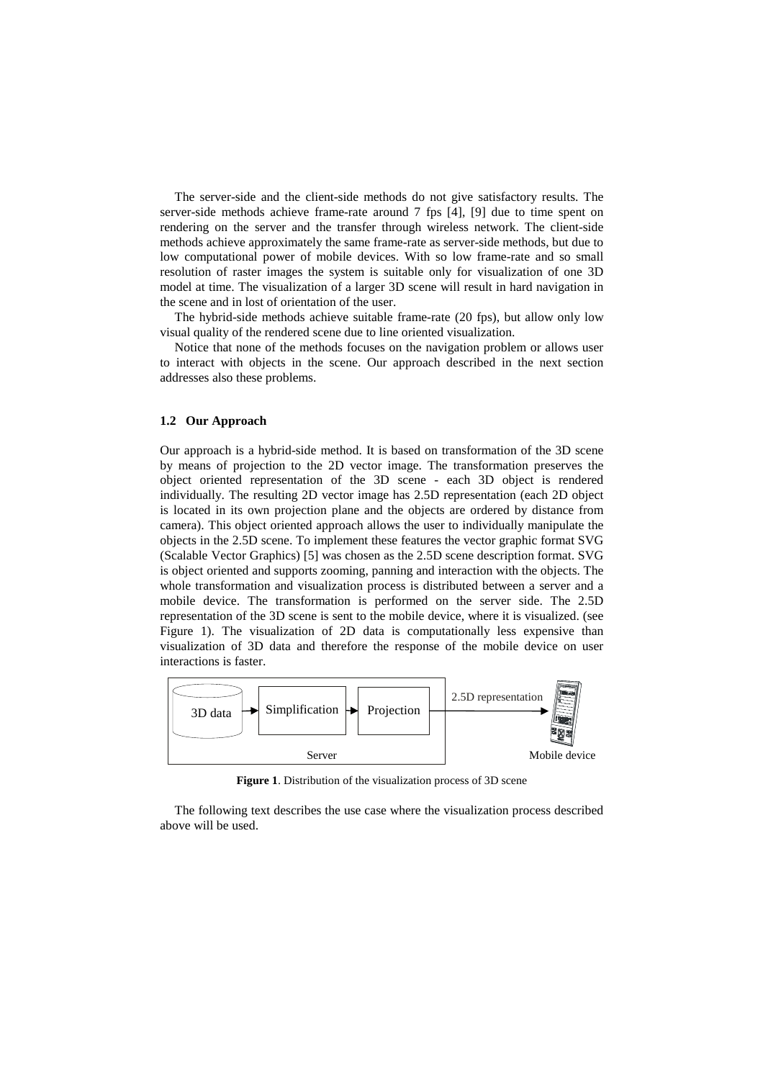The server-side and the client-side methods do not give satisfactory results. The server-side methods achieve frame-rate around 7 fps [4], [9] due to time spent on rendering on the server and the transfer through wireless network. The client-side methods achieve approximately the same frame-rate as server-side methods, but due to low computational power of mobile devices. With so low frame-rate and so small resolution of raster images the system is suitable only for visualization of one 3D model at time. The visualization of a larger 3D scene will result in hard navigation in the scene and in lost of orientation of the user.

The hybrid-side methods achieve suitable frame-rate (20 fps), but allow only low visual quality of the rendered scene due to line oriented visualization.

Notice that none of the methods focuses on the navigation problem or allows user to interact with objects in the scene. Our approach described in the next section addresses also these problems.

#### **1.2 Our Approach**

Our approach is a hybrid-side method. It is based on transformation of the 3D scene by means of projection to the 2D vector image. The transformation preserves the object oriented representation of the 3D scene - each 3D object is rendered individually. The resulting 2D vector image has 2.5D representation (each 2D object is located in its own projection plane and the objects are ordered by distance from camera). This object oriented approach allows the user to individually manipulate the objects in the 2.5D scene. To implement these features the vector graphic format SVG (Scalable Vector Graphics) [5] was chosen as the 2.5D scene description format. SVG is object oriented and supports zooming, panning and interaction with the objects. The whole transformation and visualization process is distributed between a server and a mobile device. The transformation is performed on the server side. The 2.5D representation of the 3D scene is sent to the mobile device, where it is visualized. (see Figure 1). The visualization of 2D data is computationally less expensive than visualization of 3D data and therefore the response of the mobile device on user interactions is faster.



**Figure 1**. Distribution of the visualization process of 3D scene

The following text describes the use case where the visualization process described above will be used.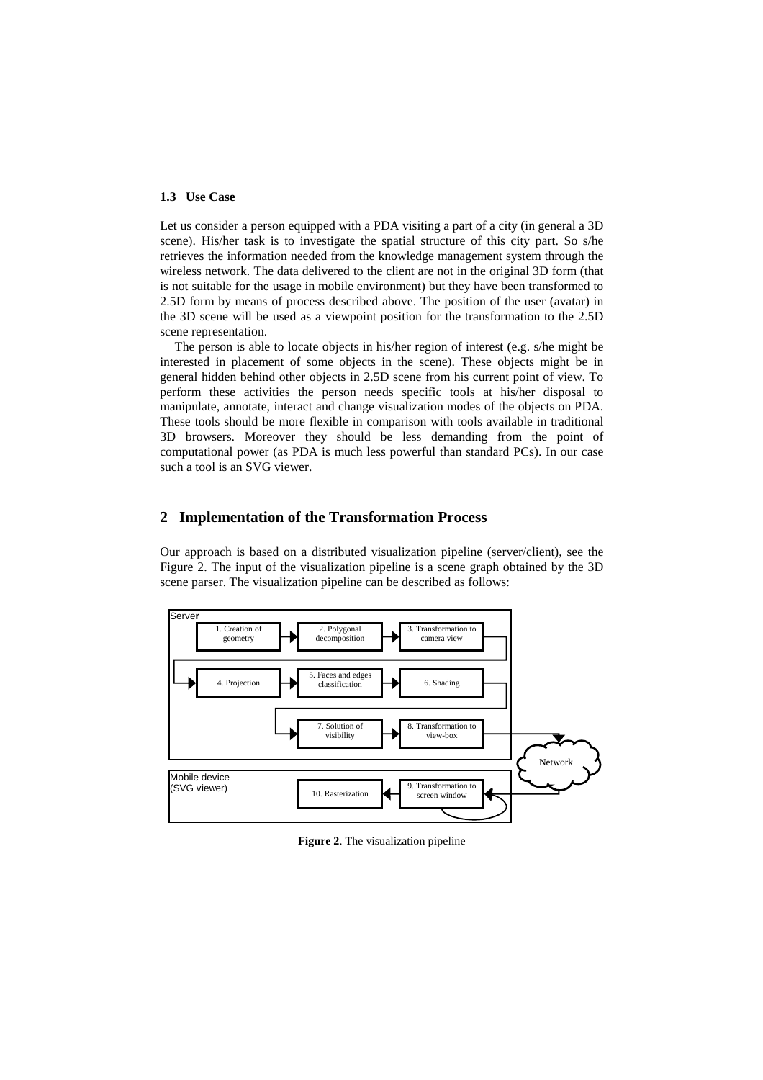#### **1.3 Use Case**

Let us consider a person equipped with a PDA visiting a part of a city (in general a 3D scene). His/her task is to investigate the spatial structure of this city part. So s/he retrieves the information needed from the knowledge management system through the wireless network. The data delivered to the client are not in the original 3D form (that is not suitable for the usage in mobile environment) but they have been transformed to 2.5D form by means of process described above. The position of the user (avatar) in the 3D scene will be used as a viewpoint position for the transformation to the 2.5D scene representation.

The person is able to locate objects in his/her region of interest (e.g. s/he might be interested in placement of some objects in the scene). These objects might be in general hidden behind other objects in 2.5D scene from his current point of view. To perform these activities the person needs specific tools at his/her disposal to manipulate, annotate, interact and change visualization modes of the objects on PDA. These tools should be more flexible in comparison with tools available in traditional 3D browsers. Moreover they should be less demanding from the point of computational power (as PDA is much less powerful than standard PCs). In our case such a tool is an SVG viewer.

### **2 Implementation of the Transformation Process**

Our approach is based on a distributed visualization pipeline (server/client), see the Figure 2. The input of the visualization pipeline is a scene graph obtained by the 3D scene parser. The visualization pipeline can be described as follows:



**Figure 2**. The visualization pipeline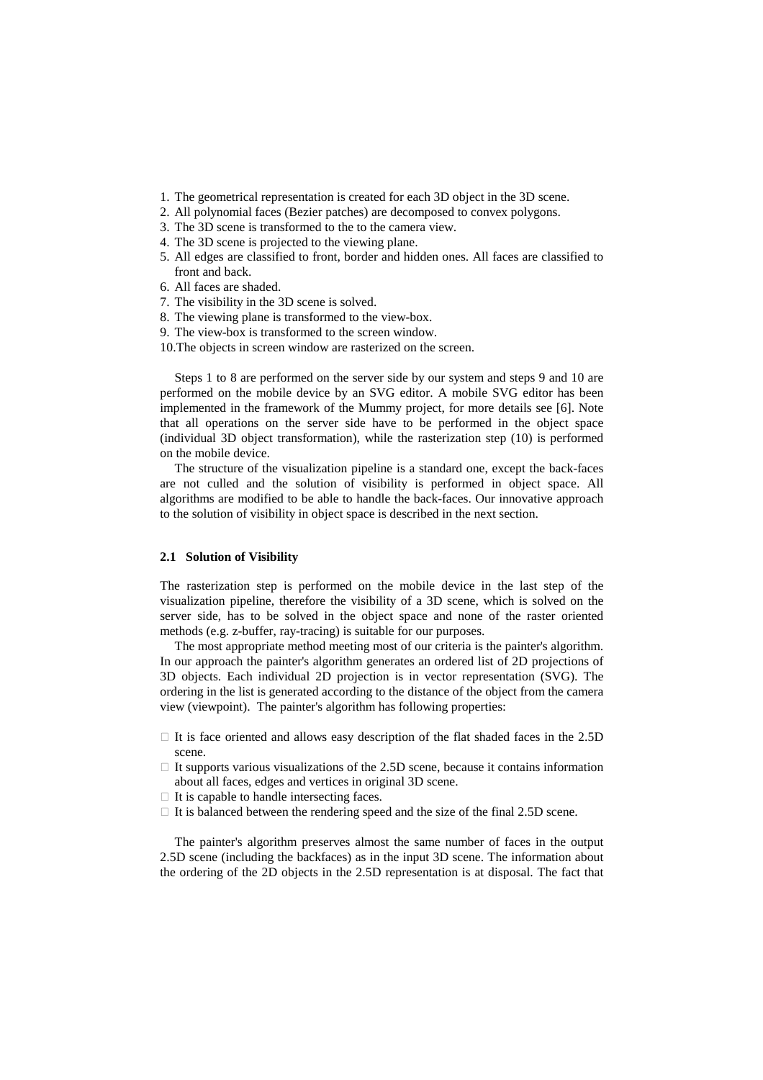- 1. The geometrical representation is created for each 3D object in the 3D scene.
- 2. All polynomial faces (Bezier patches) are decomposed to convex polygons.
- 3. The 3D scene is transformed to the to the camera view.
- 4. The 3D scene is projected to the viewing plane.
- 5. All edges are classified to front, border and hidden ones. All faces are classified to front and back.
- 6. All faces are shaded.
- 7. The visibility in the 3D scene is solved.
- 8. The viewing plane is transformed to the view-box.
- 9. The view-box is transformed to the screen window.
- 10.The objects in screen window are rasterized on the screen.

Steps 1 to 8 are performed on the server side by our system and steps 9 and 10 are performed on the mobile device by an SVG editor. A mobile SVG editor has been implemented in the framework of the Mummy project, for more details see [6]. Note that all operations on the server side have to be performed in the object space (individual 3D object transformation), while the rasterization step (10) is performed on the mobile device.

The structure of the visualization pipeline is a standard one, except the back-faces are not culled and the solution of visibility is performed in object space. All algorithms are modified to be able to handle the back-faces. Our innovative approach to the solution of visibility in object space is described in the next section.

#### **2.1 Solution of Visibility**

The rasterization step is performed on the mobile device in the last step of the visualization pipeline, therefore the visibility of a 3D scene, which is solved on the server side, has to be solved in the object space and none of the raster oriented methods (e.g. z-buffer, ray-tracing) is suitable for our purposes.

The most appropriate method meeting most of our criteria is the painter's algorithm. In our approach the painter's algorithm generates an ordered list of 2D projections of 3D objects. Each individual 2D projection is in vector representation (SVG). The ordering in the list is generated according to the distance of the object from the camera view (viewpoint). The painter's algorithm has following properties:

 It is face oriented and allows easy description of the flat shaded faces in the 2.5D scene.

 It supports various visualizations of the 2.5D scene, because it contains information about all faces, edges and vertices in original 3D scene.

It is capable to handle intersecting faces.

It is balanced between the rendering speed and the size of the final 2.5D scene.

The painter's algorithm preserves almost the same number of faces in the output 2.5D scene (including the backfaces) as in the input 3D scene. The information about the ordering of the 2D objects in the 2.5D representation is at disposal. The fact that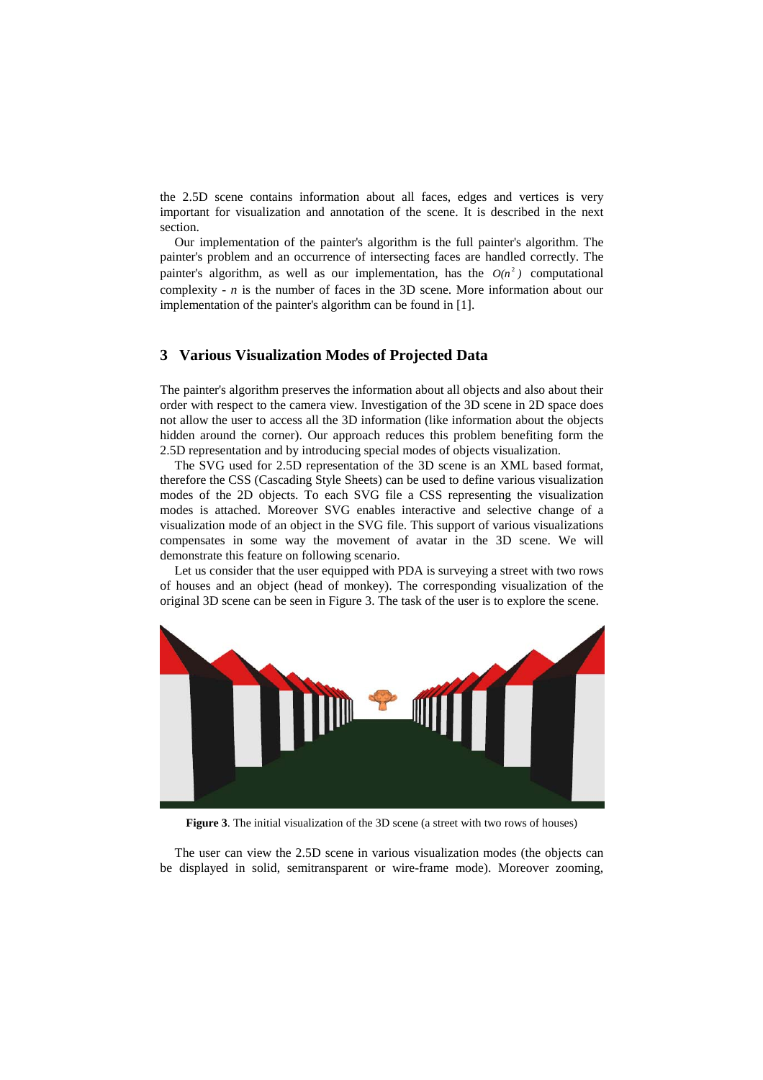the 2.5D scene contains information about all faces, edges and vertices is very important for visualization and annotation of the scene. It is described in the next section.

Our implementation of the painter's algorithm is the full painter's algorithm. The painter's problem and an occurrence of intersecting faces are handled correctly. The painter's algorithm, as well as our implementation, has the  $O(n^2)$  computational complexity - *n* is the number of faces in the 3D scene. More information about our implementation of the painter's algorithm can be found in [1].

### **3 Various Visualization Modes of Projected Data**

The painter's algorithm preserves the information about all objects and also about their order with respect to the camera view. Investigation of the 3D scene in 2D space does not allow the user to access all the 3D information (like information about the objects hidden around the corner). Our approach reduces this problem benefiting form the 2.5D representation and by introducing special modes of objects visualization.

The SVG used for 2.5D representation of the 3D scene is an XML based format, therefore the CSS (Cascading Style Sheets) can be used to define various visualization modes of the 2D objects. To each SVG file a CSS representing the visualization modes is attached. Moreover SVG enables interactive and selective change of a visualization mode of an object in the SVG file. This support of various visualizations compensates in some way the movement of avatar in the 3D scene. We will demonstrate this feature on following scenario.

Let us consider that the user equipped with PDA is surveying a street with two rows of houses and an object (head of monkey). The corresponding visualization of the original 3D scene can be seen in Figure 3. The task of the user is to explore the scene.



**Figure 3**. The initial visualization of the 3D scene (a street with two rows of houses)

The user can view the 2.5D scene in various visualization modes (the objects can be displayed in solid, semitransparent or wire-frame mode). Moreover zooming,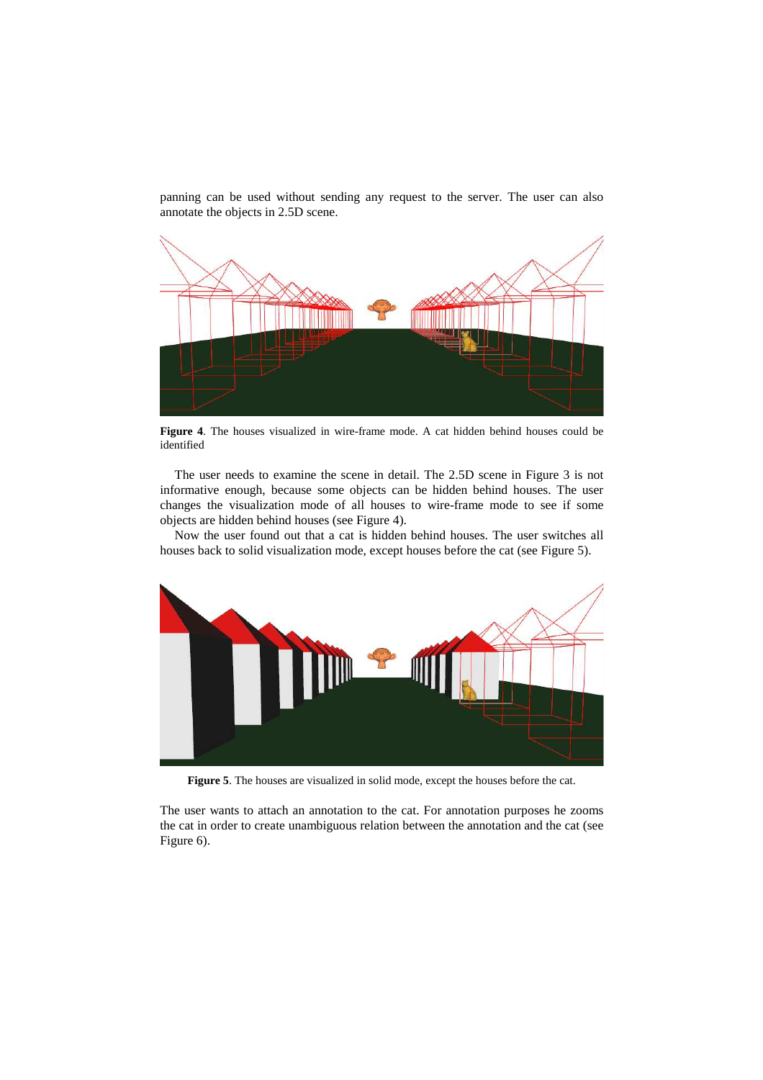panning can be used without sending any request to the server. The user can also annotate the objects in 2.5D scene.



**Figure 4**. The houses visualized in wire-frame mode. A cat hidden behind houses could be identified

The user needs to examine the scene in detail. The 2.5D scene in Figure 3 is not informative enough, because some objects can be hidden behind houses. The user changes the visualization mode of all houses to wire-frame mode to see if some objects are hidden behind houses (see Figure 4).

Now the user found out that a cat is hidden behind houses. The user switches all houses back to solid visualization mode, except houses before the cat (see Figure 5).



**Figure 5**. The houses are visualized in solid mode, except the houses before the cat.

The user wants to attach an annotation to the cat. For annotation purposes he zooms the cat in order to create unambiguous relation between the annotation and the cat (see Figure 6).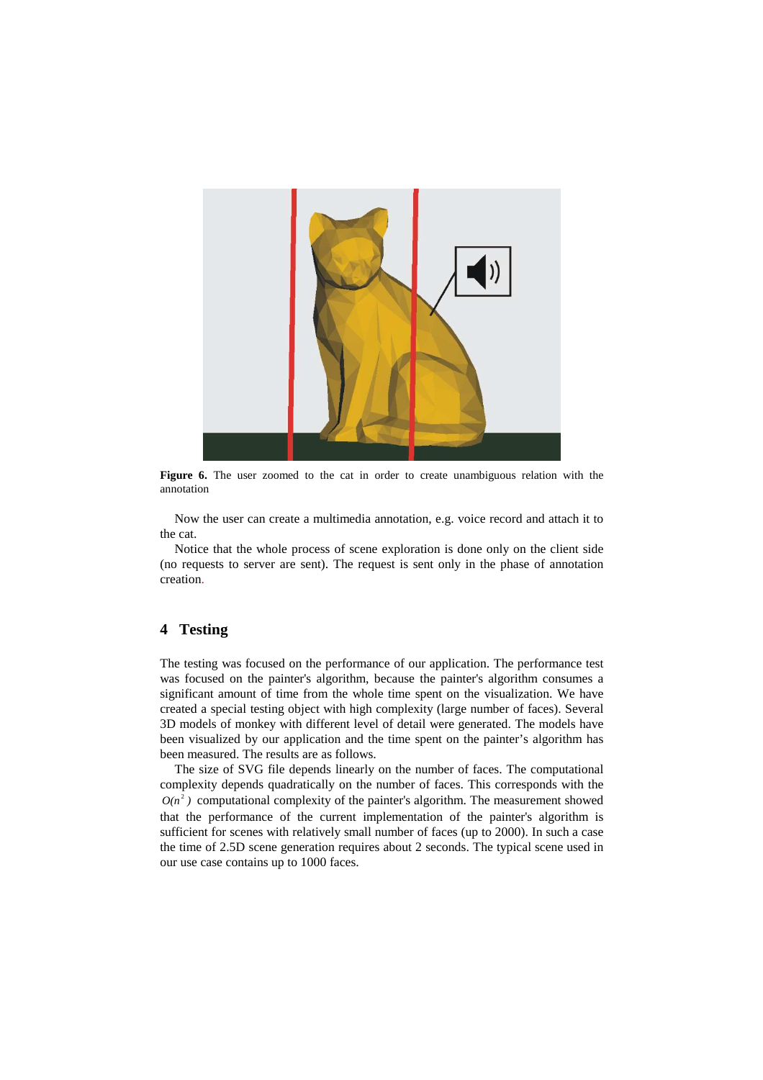

**Figure 6.** The user zoomed to the cat in order to create unambiguous relation with the annotation

Now the user can create a multimedia annotation, e.g. voice record and attach it to the cat.

Notice that the whole process of scene exploration is done only on the client side (no requests to server are sent). The request is sent only in the phase of annotation creation.

## **4 Testing**

The testing was focused on the performance of our application. The performance test was focused on the painter's algorithm, because the painter's algorithm consumes a significant amount of time from the whole time spent on the visualization. We have created a special testing object with high complexity (large number of faces). Several 3D models of monkey with different level of detail were generated. The models have been visualized by our application and the time spent on the painter's algorithm has been measured. The results are as follows.

The size of SVG file depends linearly on the number of faces. The computational complexity depends quadratically on the number of faces. This corresponds with the  $O(n^2)$  computational complexity of the painter's algorithm. The measurement showed that the performance of the current implementation of the painter's algorithm is sufficient for scenes with relatively small number of faces (up to 2000). In such a case the time of 2.5D scene generation requires about 2 seconds. The typical scene used in our use case contains up to 1000 faces.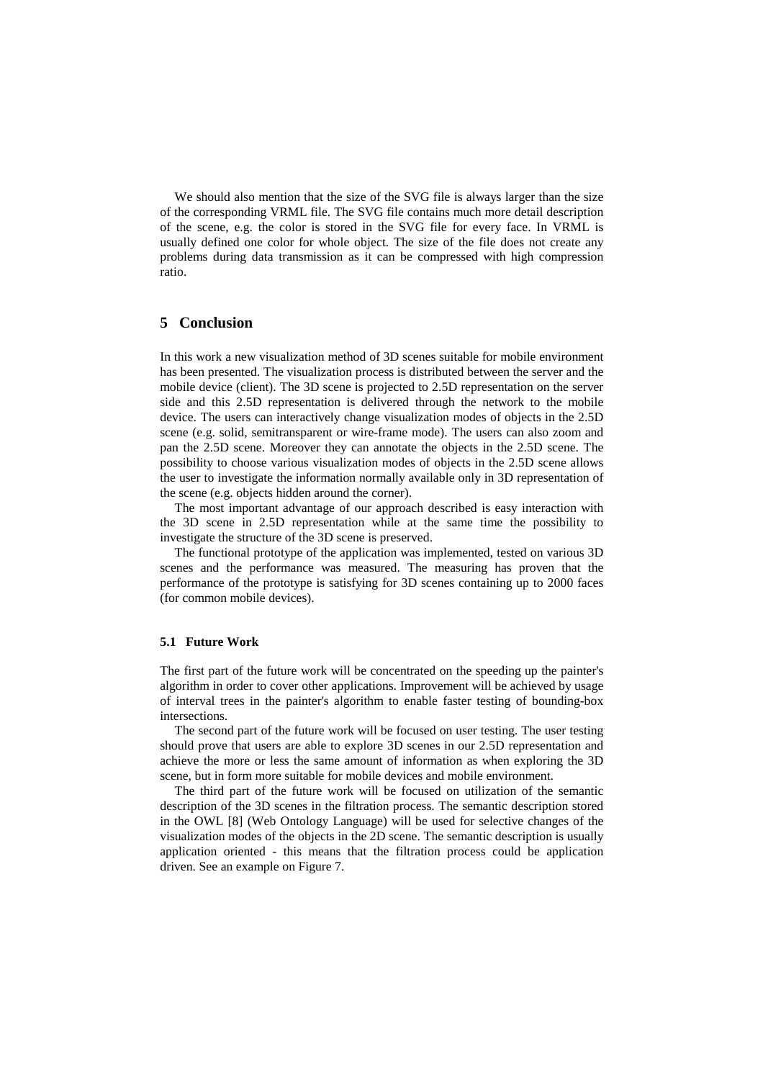We should also mention that the size of the SVG file is always larger than the size of the corresponding VRML file. The SVG file contains much more detail description of the scene, e.g. the color is stored in the SVG file for every face. In VRML is usually defined one color for whole object. The size of the file does not create any problems during data transmission as it can be compressed with high compression ratio.

### **5 Conclusion**

In this work a new visualization method of 3D scenes suitable for mobile environment has been presented. The visualization process is distributed between the server and the mobile device (client). The 3D scene is projected to 2.5D representation on the server side and this 2.5D representation is delivered through the network to the mobile device. The users can interactively change visualization modes of objects in the 2.5D scene (e.g. solid, semitransparent or wire-frame mode). The users can also zoom and pan the 2.5D scene. Moreover they can annotate the objects in the 2.5D scene. The possibility to choose various visualization modes of objects in the 2.5D scene allows the user to investigate the information normally available only in 3D representation of the scene (e.g. objects hidden around the corner).

The most important advantage of our approach described is easy interaction with the 3D scene in 2.5D representation while at the same time the possibility to investigate the structure of the 3D scene is preserved.

The functional prototype of the application was implemented, tested on various 3D scenes and the performance was measured. The measuring has proven that the performance of the prototype is satisfying for 3D scenes containing up to 2000 faces (for common mobile devices).

#### **5.1 Future Work**

The first part of the future work will be concentrated on the speeding up the painter's algorithm in order to cover other applications. Improvement will be achieved by usage of interval trees in the painter's algorithm to enable faster testing of bounding-box intersections.

The second part of the future work will be focused on user testing. The user testing should prove that users are able to explore 3D scenes in our 2.5D representation and achieve the more or less the same amount of information as when exploring the 3D scene, but in form more suitable for mobile devices and mobile environment.

The third part of the future work will be focused on utilization of the semantic description of the 3D scenes in the filtration process. The semantic description stored in the OWL [8] (Web Ontology Language) will be used for selective changes of the visualization modes of the objects in the 2D scene. The semantic description is usually application oriented - this means that the filtration process could be application driven. See an example on Figure 7.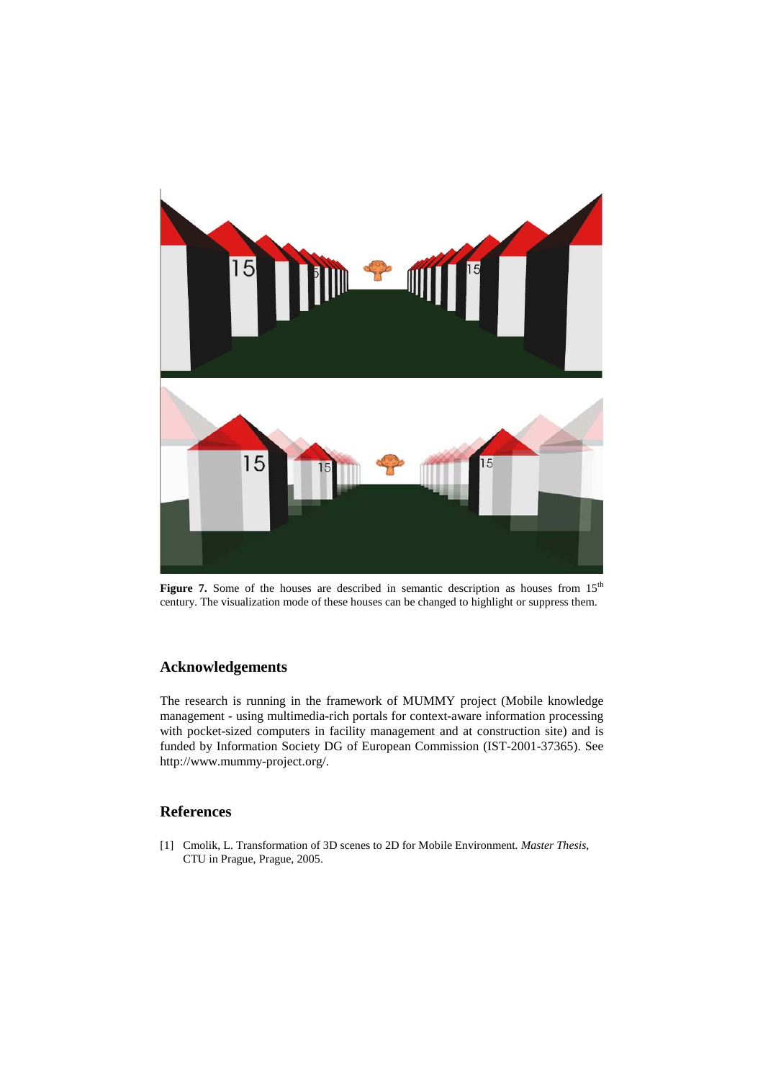

Figure 7. Some of the houses are described in semantic description as houses from 15<sup>th</sup> century. The visualization mode of these houses can be changed to highlight or suppress them.

# **Acknowledgements**

The research is running in the framework of MUMMY project (Mobile knowledge management - using multimedia-rich portals for context-aware information processing with pocket-sized computers in facility management and at construction site) and is funded by Information Society DG of European Commission (IST-2001-37365). See http://www.mummy-project.org/.

# **References**

[1] Cmolik, L. Transformation of 3D scenes to 2D for Mobile Environment*. Master Thesis*, CTU in Prague, Prague, 2005.